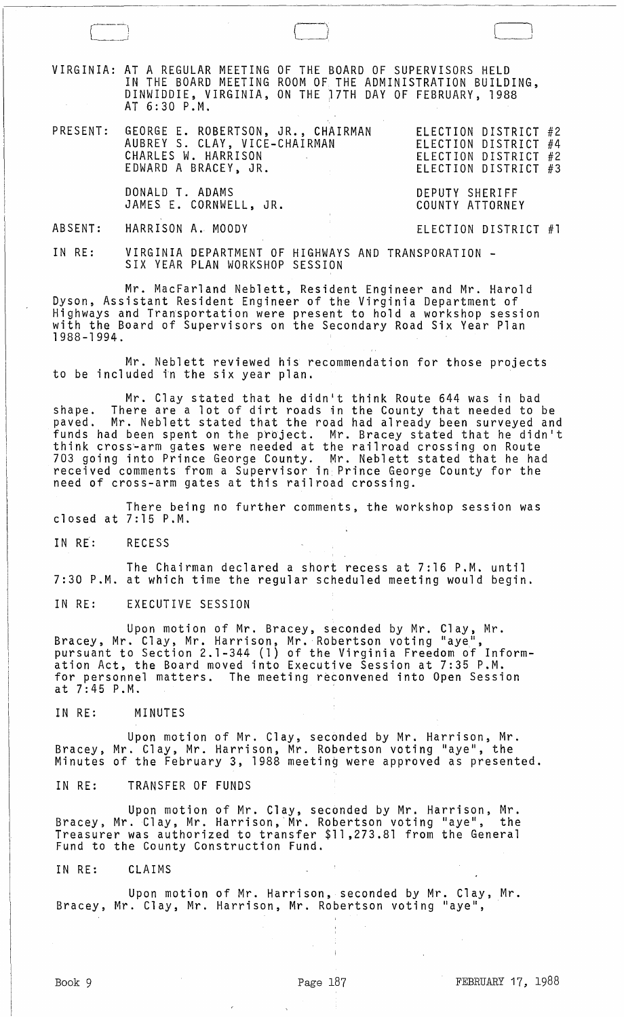VIRGINIA: AT A REGULAR MEETING OF THE BOARD OF SUPERVISORS HELD IN THE BOARD MEETING ROOM OF THE ADMINISTRATION BUILDING, DINWIDDIE, VIRGINIA, ON THE 17TH DAY OF FEBRUARY, 1988 AT 6:30 P.M.

| PRESENT: GEORGE E. ROBERTSON, JR., CHAIRMAN<br>AUBREY S. CLAY, VICE-CHAIRMAN<br>CHARLES W. HARRISON<br>EDWARD A BRACEY, JR.<br>and the state of the state of the | ELECTION DISTRICT #2<br>ELECTION DISTRICT #4<br>ELECTION DISTRICT #2<br>ELECTION DISTRICT #3 |
|------------------------------------------------------------------------------------------------------------------------------------------------------------------|----------------------------------------------------------------------------------------------|
| DONALD T. ADAMS                                                                                                                                                  | DEPUTY SHERIFF                                                                               |

ABSENT: HARRISON A. MOODY

JAMES E. CORNWELL, JR.

IN RE: VIRGINIA DEPARTMENT OF HIGHWAYS AND TRANSPORATION - SIX YEAR PLAN WORKSHOP SESSION

Mr. MacFarland Neblett, Resident Engineer and Mr. Harold Dyson, Assistant Resident Engineer of the Virginia Department of Highways and Transportation were present to hold a workshop session with the Board of Supervisors on the Secondary Road Six Year Plan 1988-1994.

Mr. Neblett reviewed his recommendation for those projects to be included in the six year plan.

Mr. Clay stated that he didn't think Route 644 was in bad shape. There are a lot of dirt roads in the County that needed to be<br>paved. Mr. Neblett stated that the road had already been surveyed an Mr. Neblett stated that the road had already been surveyed and funds had been spent on the project. Mr. Bracey stated that he didn't think cross~arm gates were needed at the railroad crossing on Route 703 going into Prince George County. Mr. Neblett stated that he had received comments from a Supervisor in. Prince George County for the need of cross-arm gates at this railroad crossing.

There being no further comments, the workshop session was closed at 7:15 P.M.

IN RE: RECESS

The Chairman declared a short recess at 7:16 P.M. until 7:30 P.M. at which time the regular scheduled meeting would begin.

IN RE: EXECUTIVE SESSION

Upon motion of Mr. Bracey, seconded by Mr. Clay, Mr. Bracey, Mr. Clay, Mr. Harrison, Mr. Robertson voting "aye", pursuant to Section 2.1-344 (1) of the Virginia Freedom of Information Act, the Board moved into Executive Session at 7:35 P.M. for personnel matters. The meeting reconvened into Open Session at 7:45 P.M.

IN RE: MINUTES

Upon motion of Mr. Clay, seconded by Mr. Harrison, Mr. Bracey, Mr. Clay, Mr. Harrison, Mr. Robertson voting "aye", the Minutes of the February 3, 1988 meeting were approved as presented.

IN RE: TRANSFER OF FUNDS

Upon motion of Mr. Clay, seconded by Mr. Harrison, Mr. Bracey, Mr. Clay, Mr. Harrison, Mr. Robertson voting "aye", the Treasurer was authorized to transfer \$11,273.81 from the General Fund to the County Construction Fund.

IN RE: CLAIMS

Upon motion of Mr. Harrison, seconded by Mr. Clay, Mr. Bracey, Mr. Clay, Mr. Harrison, Mr. Robertson voting "aye",

 $\begin{bmatrix} \begin{matrix} \end{matrix} \end{bmatrix}$ 

COUNTY ATTORNEY

ELECTION DISTRICT #1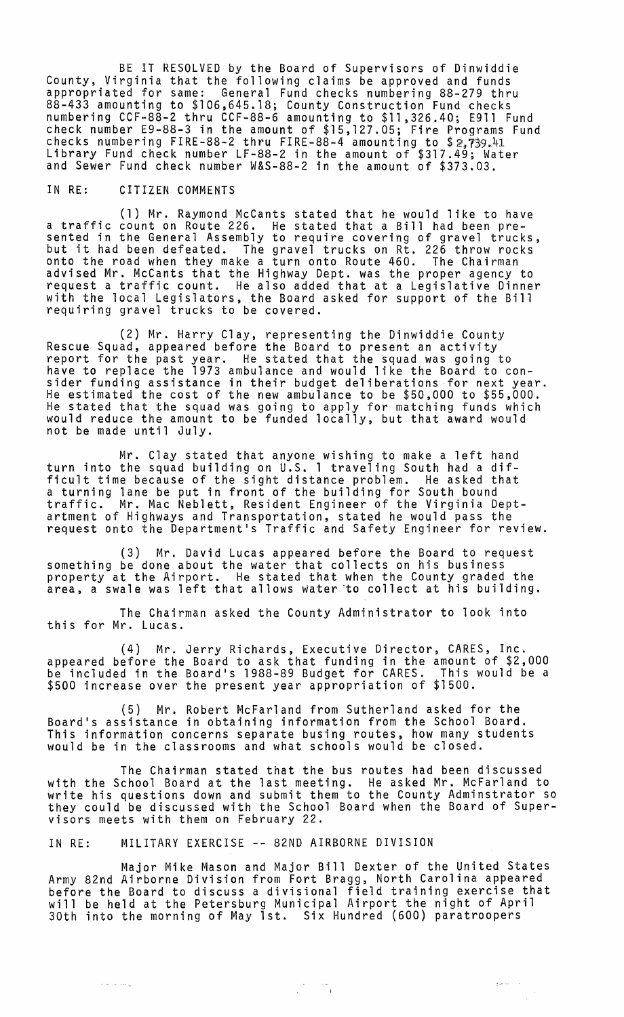BE IT RESOLVED by the Board of Supervisors of Dinwiddie County, Virginia that the following claims be approved and funds appropriated for same: General Fund checks numbering 88-279 thru 88-433 amounting to \$106,645.18; County Construction Fund checks numbering CCF-88-2 thru CCF-88-6 amounting to \$11,326.40; E911 Fund check number E9-88-3 in the amount of \$15,127.05; Fire Programs Fund checks numbering FIRE-88-2 thru FIRE-88-4 amounting to \$2,739.41 Library Fund check number LF-88-2 in the amount of \$317.49; Water and Sewer Fund check number W&S-88-2 in the amount of \$373.03.

## IN RE: CITIZEN COMMENTS

(1) Mr. Raymond McCants stated that he would like to have a traffic count on Route 226. He stated that a Bill had been pre- sented in the General Assembly to require covering of gravel trucks, but it had been defeated. The gravel trucks on Rt. 226 throw rocks onto the road when they make a turn onto Route 460. The Chairman advised Mr. McCants that the Highway Dept. was the proper agency to request a traffic count. He also added that at a Legislative Dinner with the local Legislators, the Board asked for support of the Bill requiring gravel trucks to be covered.

(2) Mr. Harry Clay, representing the Dinwiddie County Rescue Squad, appeared before the Board to present an activity report for the past year. He stated that the squad was going to have to replace the 1973 ambulance and would like the Board to consider funding assistance in their budget deliberations for next year. He estimated the cost of the new ambulance to be \$50,000 to \$55,000. He stated that the squad was going to apply for matching funds which would reduce the amount to be funded locally, but that award would not be made until July.

Mr. Clay stated that anyone wishing to make a left hand turn into the squad building on U.S. 1 traveling South had a difficult time because of the sight distance problem. He asked that a turning lane be put in front of the building for South bound traffic. Mr. Mac Neblett, Resident Engineer of the Virginia Deptartment of Highways and Transportation, stated he would pass the request onto the Department's Traffic and Safety Engineer for review.

(3) Mr. David Lucas appeared before the Board to request something be done about the water that collects on his business property at the Airport. He stated that when the County graded the area, a swale was left that allows water "to collect at his building.

The Chairman asked the County Administrator to look into this for Mr. Lucas.

(4) Mr. Jerry Richards, Executive Director, CARES, Inc. appeared before the Board to ask that funding in the amount of \$2,000 be included in the Board's 1988-89 Budget for CARES. This would be a \$500 increase over the present year appropriation of \$1500.

(5) Mr. Robert McFarland from Sutherland asked for the Board's assistance in obtaining information from the School Board. This information concerns separate busing routes, how many students would be in the classrooms and what schools would be closed.

The Chairman stated that the bus routes had been discussed with the School Board at the last meeting. He asked Mr. McFarland to write his questions down and submit them to the County Adminstrator so they could be discussed with the School Board when the Board of Supervisors meets with them on February 22.

IN RE: MILITARY EXERCISE -- 82ND AIRBORNE DIVISION

Major Mike Mason and Major Bill Dexter of the United States Army 82nd Airborne Division from Fort Bragg, North Carolina appeared before the Board to discuss a divisional field training exercise that will be held at the Petersburg Municipal Airport the night of April 30th into the morning of May 1st. Six Hundred (600) paratroopers

 $\frac{1}{\sqrt{2}}\frac{1}{\sqrt{2}}\left(1-\frac{1}{2}\right)\frac{1}{\sqrt{2}}\frac{1}{\sqrt{2}}\frac{1}{\sqrt{2}}\frac{1}{\sqrt{2}}\frac{1}{\sqrt{2}}\frac{1}{\sqrt{2}}\frac{1}{\sqrt{2}}\frac{1}{\sqrt{2}}\frac{1}{\sqrt{2}}\frac{1}{\sqrt{2}}\frac{1}{\sqrt{2}}\frac{1}{\sqrt{2}}\frac{1}{\sqrt{2}}\frac{1}{\sqrt{2}}\frac{1}{\sqrt{2}}\frac{1}{\sqrt{2}}\frac{1}{\sqrt{2}}\frac{1}{\sqrt{2}}\frac{1}{\sqrt{$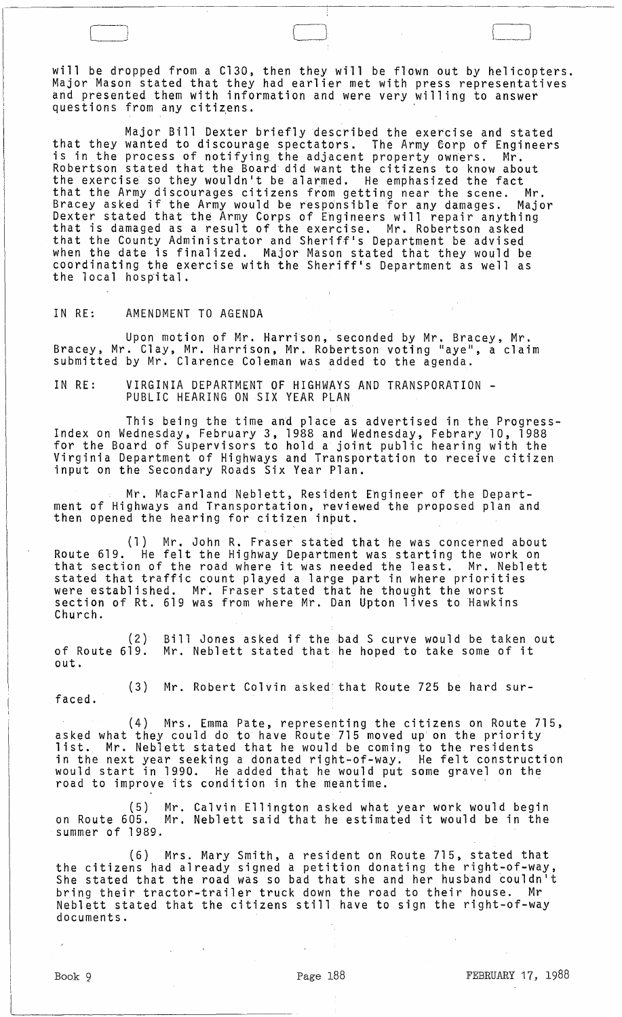will be dropped from a C130, then they will be flown out by helicopters. Major Mason stated that they had earlier met with press representatives and presented them with information and were very willing to answer questions from any citizens.

'--' <sup>J</sup>I\_~.~I

Major Bill Dexter briefly described the exercise and stated that they wanted to discourage spectators. The Army Gorp of Engineers is in the process of notifying the adjacent property owners. Mr. Robertson stated that the Board did want the citizens to know about the exercise so they wouldn't be alarmed. He emphasized the fact that the Army discourages citizens from getting near the scene. Mr. Bracey asked if the Army would be responsible for any damages. Major Dexter stated that the Army Corps of Engineers will repair anything that is damaged as a result of the exercise. Mr. Robertson asked that the County Administrator and Sheriff's Department be advised when the date is finalized. Major Mason stated that they would be coordinating the exercise with the Sheriff's Department as well as the local hospital.

## IN RE: AMENDMENT TO AGENDA

l

Upon motion of Mr. Harrison, seconded by Mr. Bracey, Mr. Bracey, Mr. Clay, Mr. Harrison, Mr. Robertson voting "aye", a claim submitted by Mr. Clarence Coleman was added to the agenda.

IN RE: VIRGINIA DEPARTMENT OF HIGHWAYS AND TRANSPORATION -<br>PUBLIC HEARING ON SIX YEAR PLAN

This being the time and place as advertised in the Progress-Index on Wednesday, February 3, 1988 ahd Wednesday, Febrary 10, 1988 for the Board of Supervisors to hold a joint public hearing with the Virginia Department of Highways and Transportation to receive citizen input on the Secondary Roads Six Year Plan.

Mr. MacFarland Neblett, Resident Engineer of the Department of Highways and Transportation, reviewed the proposed plan and then opened the hearing for citizen input.

(1) Mr. John R. Fraser stated that he was concerned about Route 619. He felt the Highway Department was starting the work on that section of the road where it was needed the least. Mr. Neblett stated that traffic count played a large part in where priorities were established. Mr. Fraser stated that he thought the worst section of Rt. 619 was from where Mr. Dan Upton lives to Hawkins Church.

 $(2)$ of Route 619. out. Bill Jones asked if the bad S curve would be taken out Birr oones asked it the bad 3 curve would be taken c<br>Mr. Neblett stated that he hoped to take some of it

(3) Mr. Robert Colvin asked that Route 725 be hard surfaced.

(4) Mrs. Emma Pate, representing the citizens on Route 715, asked what they could do to have Route 715 moved up on the priority<br>list. Mr. Neblett stated that he would be coming to the residents What they could do to have hosted the coming to the residents in the next year seeking a donated right-of-way. He felt construction would start in 1990. He added that he would put some gravel on the road to improve its condition in the meantime.

(5) Mr. Calvin Ellington asked what year work would begin on Route 605. Mr. Neblett said that he estimated it would be in the summer of 1989.

(6) Mrs. Mary Smith, a resident on Route 715, stated that the citizens had already signed a petition donating the right-of-way, She stated that the road was so bad that she and her husband couldn't bring their tractor-trailer truck down the road to their house. Mr Neblett stated that the citizens still have to sign the right-of-way documents.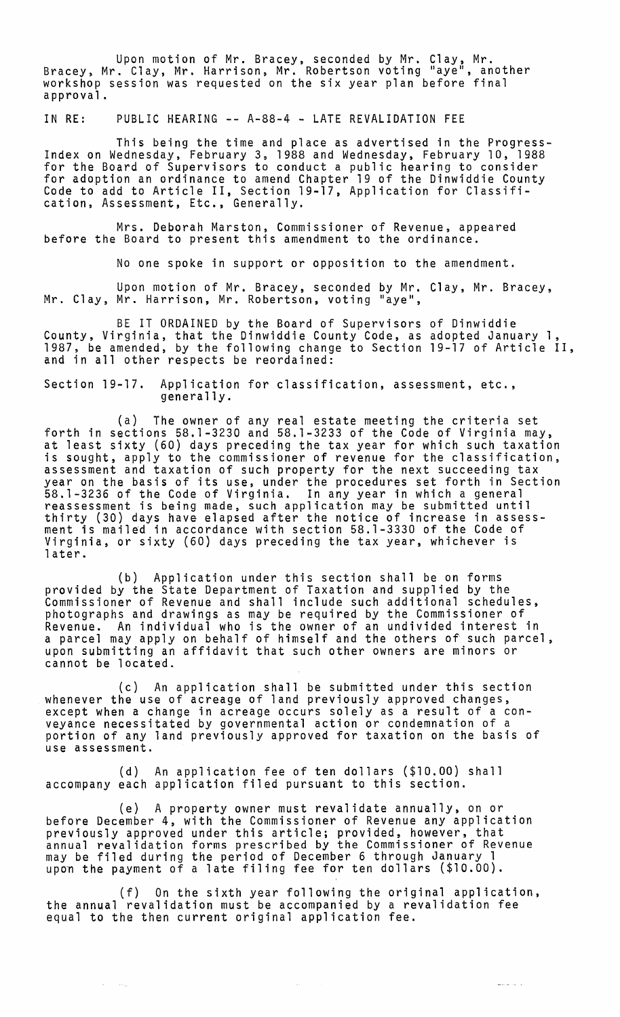Upon motion of Mr. Bracey, seconded by Mr. Clay, Mr. Bracey, Mr. Clay, Mr. Harrison, Mr. Robertson voting "aye", another workshop session was requested on the six year plan before final approval.

IN RE: PUBLIC HEARING -- A-88-4 - LATE REVALIDATION FEE

This being the time and place as advertised in the Progress- Index on Wednesday, February 3, 1988 and Wednesday, February 10, 1988 for the Board of Supervisors to conduct a public hearing to consider for adoption an ordinance to amend Chapter 19 of the Dinwiddie County<br>Code to add to Article II, Section 19-17, Application for Classification, Assessment, Etc., Generally.

Mrs. Deborah Marston, Commissioner of Revenue, appeared before the Board to present this amendment to the ordinance.

No one spoke in support or opposition to the amendment.

Upon motion of Mr. Bracey, seconded by Mr. Clay, Mr. Bracey,<br>Mr. Clay, Mr. Harrison, Mr. Robertson, voting "aye",

BE IT ORDAINED by the Board of Supervisors of Dinwiddie County, Virginia, that the Dinwiddie County Code, as adopted January 1, 1987, be amended, by the following change to Section 19-17 of Article II, and in all other respects be reordained:

Section 19-17. Application for classification, assessment, etc., generally.

(a) The owner of any real estate meeting the criteria set forth in sections 58.1-3230 and 58.1-3233 of the Code of Virginia may, at least sixty (60) days preceding the tax year for which such taxation is sought, apply to the commissioner of revenue for the classification, assessment and taxation of such property for the next succeeding tax year on the basis of its use, under the procedures set forth in Section 58.1-3236 of the Code of Virginia. In any year in which a general reassessment is being made, such application may be submitted until thirty (30) days have elapsed after the notice of increase in assessment is mailad in accordance with section 58.1-3330 of the Code of Virginia, or sixty (60) days preceding the tax year, whichever is later.

(b) Application under this section shall be on forms provided by the State Department of Taxation and supplied by the Commissioner of Revenue and shall include such additional schedules, photographs and drawings as may be required by the Commissioner of Revenue. An individual who is the owner of an undivided interest in a parcel may apply on behalf of himself and the others of such parcel, upon submitting an affidavit that such other owners are minors or cannot be located.

(c) An application shall be submitted under this section whenever the use of acreage of land previously approved changes, except when a change in acreage occurs solely as a result of a conveyance necessitated by governmental action or condemnation of a portion of any land previously approved for taxation on the basis of use assessment.

(d) An application fee of ten dollars (\$10.00) shall accompany each application filed pursuant to this section.

(e) A property owner must revalidate annually, on or before December 4, with the Commissioner of Revenue any application previously approved under this article; provided, however, that annual revalidation forms prescribed by the Commissioner of Revenue may be filed during the period of December 6 through January 1 upon the payment of a late filing fee for ten dollars (\$10.00).

(f) On the sixth year following the original application, the annual revalidation must be accompanied by a revalidation fee equal to the then current original application fee.

 $\sim$ 

الحامد سيست

 $\sim 10^{11}$  map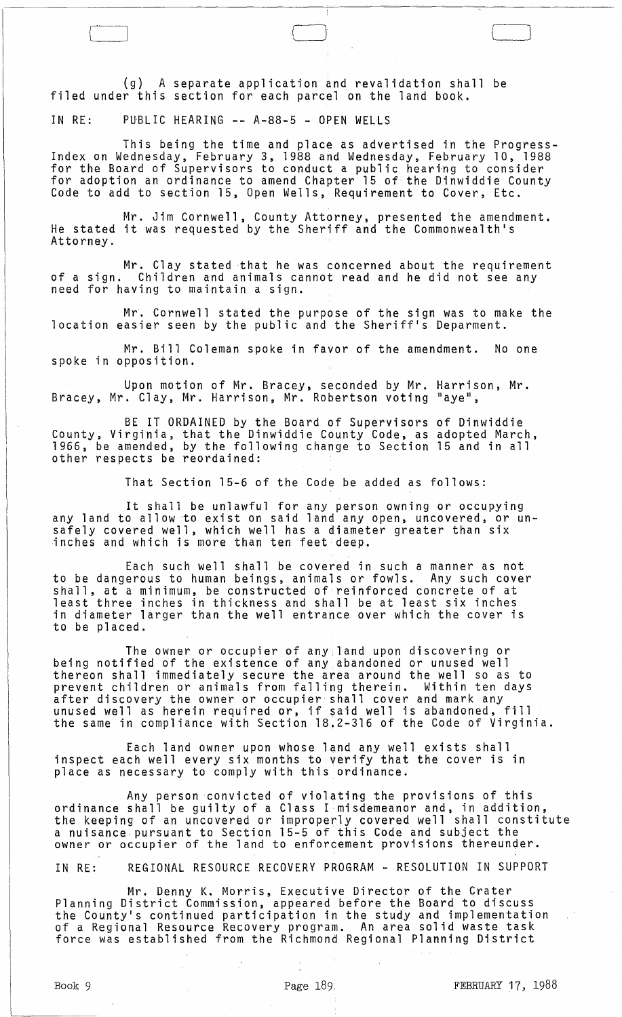(g) A separate application and revalidation shall be filed under this section for each parcel on the land book.

IN RE: PUBLIC HEARING -- A-88-5 - OPEN WELLS

This being the time and place as advertised in the Progress- Index on Wednesday, February 3, 1988 and Wednesday, February 10, 1988 for the Board of Supervisors to conduct a public hearing to consider for adoption an ordinance to amend Chapter 15 of the Dinwiddie County Code to add to section 15, Open Wells, Requirement to Cover, Etc.

Mr. Jim Cornwell, County Attorney, presented the amendment. He stated it was requested by the Sheriff and the Commonwealth's Attorney.

Mr. Clay stated that he was concerned about the requirement<br>of a sign. Children and animals cannot read and he did not see any<br>need for having to maintain a sign.

Mr. Cornwell stated the purpose of the sign was to make the location easier seen by the public and the Sheriff's Deparment.

Mr. Bill Coleman spoke in favor of the amendment. No one spoke in opposition.

Upon motion of Mr. Bracey, seconded by Mr. Harrison, Mr. Bracey, Mr. Clay, Mr. Harrison, Mr. Robertson voting "aye",

BE IT ORDAINED by the Board of Supervisors of Dinwiddie County, Virginia, that the Dinwiddie County Code, as adopted March, 1966, be amended, by the following change to Section 15 and in all other respects be reordained:

That Section 15-6 of the Code be added as follows:

It shall be unlawful for any person owning or occupying any land to allow to exist on said land any open, uncovered, or unsafely covered well, which well has a diameter greater than six inches and which is more than ten feet deep.

Each such well shall be covered in such a manner as not to be dangerous to human beings, animals or fowls. Any such cover shall, at a minimum, be constructed of reinforced concrete of at least three inches in thickness and shall be at least six inches in diameter larger than the well entrance over which the cover is to be placed.

The owner or occupier of any land upon discovering or being notified of the existence of any abandoned or unused well thereon shall immediately secure the area around the well so as to prevent children or animals from falling therein. Within ten days<br>after discovery the owner or occupier shall cover and mark any<br>unused well as herein required or, if said well is abandoned, fill the same in compliance with Section 18,2-316 of the Code of Virginia.

Each land owner upon whose land any well exists shall inspect each well every six months to verify that the cover is in place as necessary to comply with this ordinance.

Any person convicted of violating the provisions of this ordinance shall be guilty of a Class I misdemeanor and, in addition, the keeping of an uncovered or improperly covered well shall constitute a nuisance· pursuant to Section 15-5 of this Code and subject the a mare and particular to control to enforcement provisions thereunder.

IN RE: REGIONAL RESOURCE RECOVERY PROGRAM - RESOLUTION IN SUPPORT

Mr. Denny K. Morris, Executive Director of the Crater Planning District Commission, appeared before the Board to discuss the County's continued participation in the study and implementation of a Regional Resource Recovery program. An area solid waste task force was established from the Richmond Regional Planning District

(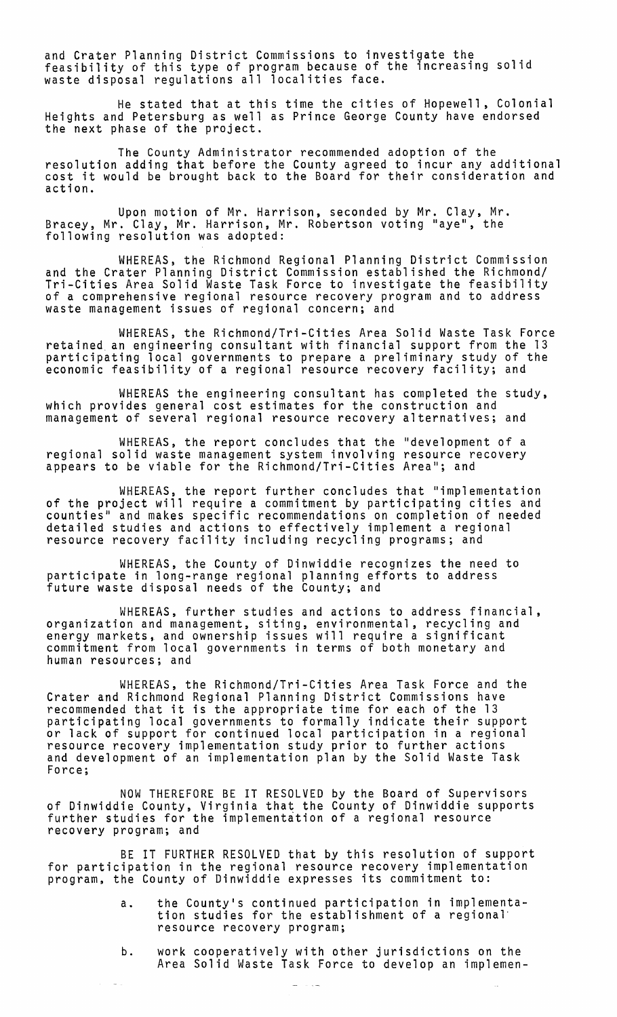and Crater Planning District Commissions to investigate the feasibility of this type of program because of the increasing solid waste disposal regulations all localities face.

He stated that at this time the cities of Hopewell, Colonial Heights and Petersburg as well as Prince George County have endorsed the next phase of the project.

The County Administrator recommended adoption of the resolution adding that before the County agreed to incur any additional cost it would be brought back to the Board for their consideration and action.

Upon motion of Mr. Harrison, seconded by Mr. Clay, Mr. Bracey, Mr. Clay, Mr. Harrison, Mr. Robertson voting "aye", the following resolution was adopted:

WHEREAS, the Richmond Regional Planning District Commission and the Crater Planning District Commission established the Richmond/ Tri-Cities Area Solid Waste Task Force to investigate the feasibility of a comprehensive regional resource recovery program and to address waste management issues of regional concern; and

WHEREAS, the Richmond/Tri-Cities Area Solid Waste Task Force retained. an engineering consultant with financial support from the 13 participating local governments to prepare a preliminary study of the economic feasibility of a regional resource recovery facility; and

WHEREAS the engineering consultant has completed the study, which provides general cost estimates for the construction and management of several regional resource recovery alternatives; and

WHEREAS, the report concludes that the "development of a regional solid waste management system involving resource recovery appears to be viable for the Richmond/Tri-Cities Area"; and

WHEREAS, the report further concludes that "implementation of the project will require a commitment by participating cities and counties" and makes specific recommendations on completion of needed detailed studies and actions to effectively implement a regional resource recovery facility including recycling programs; and

WHEREAS, the County of Dinwiddie recognizes the need to participate in long-range regional planning efforts to address future waste disposal needs of the County; and

WHEREAS, further studies and actions to address financial, organization and management, siting, environmental, recycling and energy markets, and ownership issues will require a significant commitment from local governments in terms of both monetary and human resources; and

WHEREAS, the Richmond/Tri-Cities Area Task Force and the Crater and Richmond Regional Planning District Commissions have recommended that it is the appropriate time for each of the 13 participating local governments to formally indicate their support or lack of support for continued local participation in a regional resource recovery implementation study prior to further actions and development of an implementation plan by the Solid Waste Task Force;

NOW THEREFORE BE IT RESOLVED by the Board of Supervisors of Dinwiddie County, Virginia that the County of Dinwiddie supports further studies for the implementation of a regional resource recovery program; and

BE IT FURTHER RESOLVED that by this resolution of support for participation in the regional resource recovery implementation program, the County of Dinwiddie expresses its commitment to:

- a. the County's continued participation in implementa- tion studies for the establishment of a regional· resource recovery program;
- b. work cooperatively with other jurisdictions on the Area Solid Waste Task Force to develop an implemen-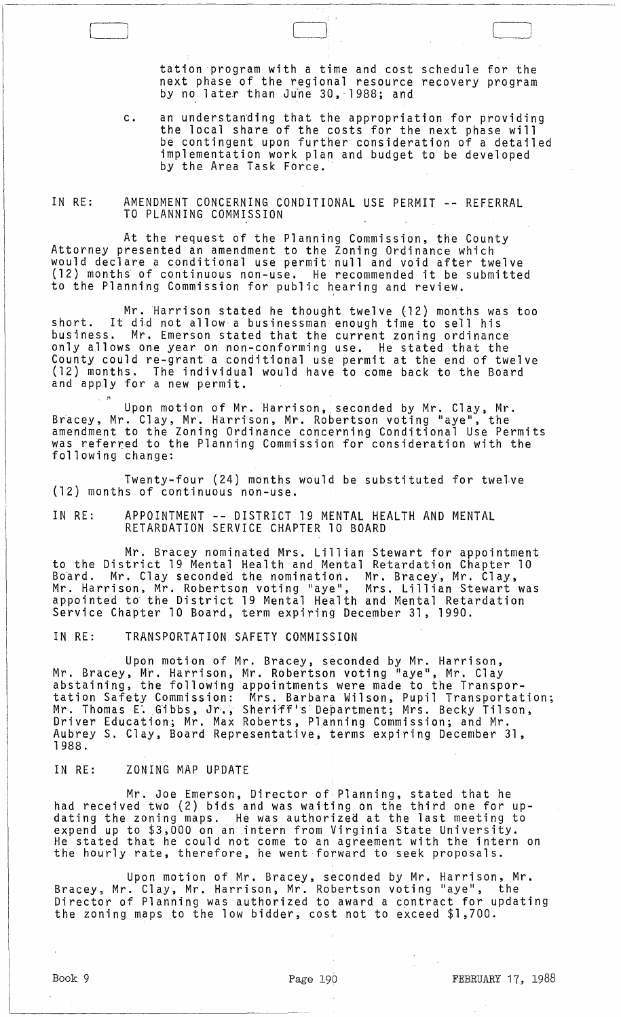tation program with a time and cost schedule for the next phase of the regional resource recovery program<br>by no later than June 30,~1988; and

1

c. an understanding that the appropriation for providing the local share of the costs for the next phase will be contingent upon further consideration of a detailed implementation work plan and budget to be developed by the Area Task Force.

#### IN RE: AMENDMENT CONCERNING CONDITIONAL USE PERMIT -- REFERRAL TO PLANNING COMMISSION

At the request of the Planning Commission, the County Attorney presented an amendment to the Zoning Ordinance which would declare a conditional use permit null and void after twelve (12) months of continuous non-use. He recommended it be submitted to the Planning Commission for public hearing and review.

Mr. Harrison stated he thought twelve (12) months was too short. It did not allow a businessman enough time to sell his business. Mr. Emerson stated that the current zoning ordinance only allows one year on non-conforming use. He stated that the County could re-grant a conditional use permit at the end of twelve (12) months. The individual would have to come back to the Board and apply for a new permit.

Upon motion of Mr. Harrison, seconded by Mr. Clay, Mr. Bracey, Mr. Clay, Mr. Harrison, Mr. Robertson voting "aye", the amendment to the Zoning Ordinance concerning Conditional Use Permits was referred to the Planning Commission for consideration with the following change:

Twenty-four (24) months would be substituted for twelve (12) months of continuous non-use.

IN RE: APPOINTMENT -- DISTRICT 19 MENTAL HEALTH AND MENTAL RETARDATION SERVICE CHAPTER 10 BOARD

Mr. Bracey nominated Mrs. Lillian Stewart for appointment to the District 19 Mental Health and Mental Retardation Chapter 10 Board. Mr. Clay seconded the nomination. Mr. Bracey, Mr. Clay,<br>Mr. Harrison, Mr. Robertson voting "aye", Mrs. Lillian Stewart was appointed to' the District 19 Mental Health and Mental Retardation Service Chapter 10 Board, term expiring December 31, 1990.

IN RE: TRANSPORTATION SAFETY COMMISSION

Upon motion of Mr. Bracey, seconded by Mr. Harrison, Mr. Bracey, Mr. Harrison, Mr. Robertson voting "aye", Mr. Clay abstaining, the following appointments were made to the Transpor-<br>tation Safety Commission: Mrs. Barbara Wilson, Pupil Transportation; Mr. Thomas E'. Gibbs, Jr·., Sheriff's' Department; Mrs. Becky Tilson, Driver Education; Mr. Max Roberts, Planning Commission; and Mr. Aubrey S. Clay, Board Representative, terms expiring December 31, 1988.

## IN RE: ZONING MAP UPDATE

Mr. Joe Emerson, Director of Planning, stated that he had received two (2) bids and was waiting on the third one for up-<br>dating the zoning maps. He was authorized at the last meeting to expend up to \$3,000 on an intern from Virginia State University. He stated that he could not come to an agreement with the intern on the hourly rate, therefore, he went forward to seek proposals.

Upon motion of Mr. Bracey, seconded by Mr. Harrison, Mr. Bracey, Mr. Clay, Mr. Harrison, Mr. Robertson voting "aye", the Director of Planning was authorized to award a contract for updating the zoning maps to the low bidder, cost not to exceed \$1,700.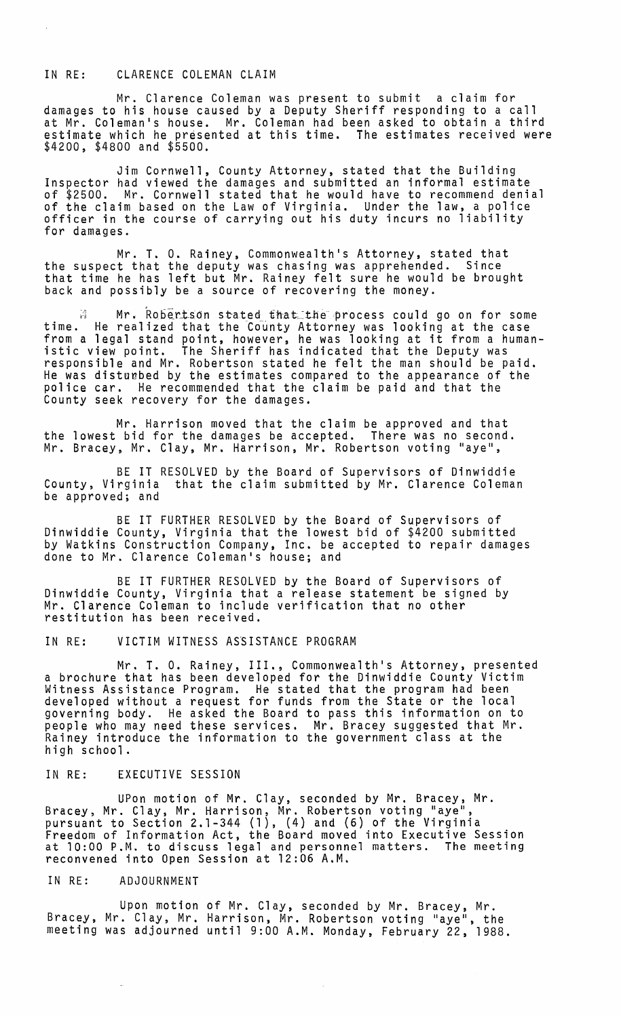# IN RE: CLARENCE COLEMAN CLAIM

Mr. Clarence Coleman was present to submit a claim for damages to his house caused by a Deputy Sheriff responding to a call at Mr. Coleman's house. Mr. Coleman had been asked to obtain a third estimate which he presented at this time. The estimates received were \$4200, \$4800 and \$5500.

Jim Cornwell, County Attorney, stated that the Building Inspector had viewed the damages and submitted an informal estimate of \$2500. Mr. Cornwell stated that he would have to recommend denial of the claim based on the Law of Virginia. Under the law, a police<br>officer in the course of carrying out his duty incurs no liability officer in the course of carrying out his duty incurs no liability<br>for damages.

Mr. T. O. Rainey, Commonwealth's Attorney, stated that the suspect that the deputy was chasing was apprehended. Since that time he has left but Mr. Rainey felt sure he would be brought back and possibly be a source of recovering the money.

M Mr. Robertson stated that the process could go on for some time. He realized that the County Attorney was looking at the case from a legal stand point, however, he was looking at it from a humanistic view point. The Sheriff has indicated that the Deputy was responsible and Mr. Robertson stated he felt the man should be paid.<br>He was disturbed by the estimates compared to the appearance of the police car. He recommended that the claim be paid and that the County seek recovery for the damages.

Mr. Harrison *moved* that the claim be approved and that the lowest bid for the damages be accepted. There was no second. Mr. Bracey, Mr. Clay, Mr. Harrison, Mr. Robertson voting "aye",

BE IT RESOLVED by the Board of Supervisors of Dinwiddie<br>County, Virginia that the claim submitted by Mr. Clarence Colema that the claim submitted by Mr. Clarence Coleman be approved; and

BE IT FURTHER RESOLVED by the Board of Supervisors of Dinwiddie County, Virginia that the lowest bid of \$4200 submitted by Watkins Construction Company, Inc. be accepted to repair damages done to Mr. Clarence Coleman's house; and

BE IT FURTHER RESOLVED by the Board of Supervisors of Dinwiddie County, Virginia that a release statement be signed by<br>Mr. Clarence Coleman to include verification that no other restitution has been received.

### IN RE: VICTIM WITNESS ASSISTANCE PROGRAM

Mr. T. O. Rainey, III., Commonwealth's Attorney, presented a brochure that has been developed for the Dinwiddie County Victim Witness Assistance Program. He stated that the program had been developed without a request for funds from the State or the local governing body. He asked the Board to pass this information on to people who may need these services. Mr. Bracey suggested that Mr. Rainey introduce the information to the government class at the high school.

### IN RE: EXECUTIVE SESSION

UPon motion of Mr. Clay, seconded by Mr. Bracey, Mr. Bracey, Mr. Clay, Mr. Harrison, Mr. Robertson voting "aye", pursuant to Section 2.1-344 (1), (4) and (6) of the Virginia Freedom of Information Act, the Board moved into Executive Session at 10:00 P.M. to discuss legal and personnel matters. The meeting reconvened into Open Session at 12:06 A.M.

#### IN RE: ADJOURNMENT

Upon motion of Mr. Clay, seconded by Mr. Bracey, Mr. Bracey, Mr. Clay, Mr. Harrison, Mr. Robertson voting "aye", the meeting was adjourned until 9:00 A.M. Monday, February 22, 1988.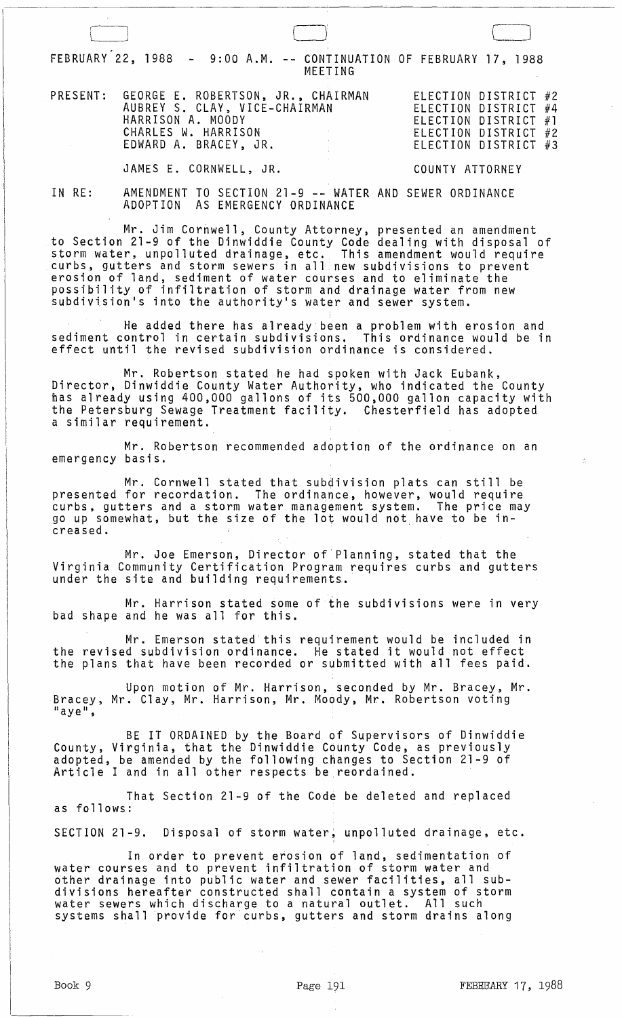|                  |                                                                   | FEBRUARY 22, 1988 - 9:00 A.M. -- CONTINUATION OF FEBRUARY 17, 1988<br>MEETING                                                                                                                                                                                                                                                                                                                                                                                                        |                                                                                                                      |
|------------------|-------------------------------------------------------------------|--------------------------------------------------------------------------------------------------------------------------------------------------------------------------------------------------------------------------------------------------------------------------------------------------------------------------------------------------------------------------------------------------------------------------------------------------------------------------------------|----------------------------------------------------------------------------------------------------------------------|
| PRESENT:         | HARRISON A. MOODY<br>CHARLES W. HARRISON<br>EDWARD A. BRACEY, JR. | GEORGE E. ROBERTSON, JR., CHAIRMAN<br>AUBREY S. CLAY, VICE-CHAIRMAN                                                                                                                                                                                                                                                                                                                                                                                                                  | ELECTION DISTRICT #2<br>ELECTION DISTRICT #4<br>ELECTION DISTRICT #1<br>ELECTION DISTRICT #2<br>ELECTION DISTRICT #3 |
|                  | JAMES E. CORNWELL, JR.                                            |                                                                                                                                                                                                                                                                                                                                                                                                                                                                                      | COUNTY ATTORNEY                                                                                                      |
| IN RE:           |                                                                   | AMENDMENT TO SECTION 21-9 -- WATER AND SEWER ORDINANCE<br>ADOPTION AS EMERGENCY ORDINANCE                                                                                                                                                                                                                                                                                                                                                                                            |                                                                                                                      |
|                  |                                                                   | Mr. Jim Cornwell, County Attorney, presented an amendment<br>to Section 21-9 of the Dinwiddie County Code dealing with disposal of<br>storm water, unpolluted drainage, etc. This amendment would require<br>curbs, gutters and storm sewers in all new subdivisions to prevent<br>erosion of land, sediment of water courses and to eliminate the<br>possibility of infiltration of storm and drainage water from new<br>subdivision's into the authority's water and sewer system. |                                                                                                                      |
|                  |                                                                   | He added there has already been a problem with erosion and<br>sediment control in certain subdivisions. This ordinance would be in<br>effect until the revised subdivision ordinance is considered.                                                                                                                                                                                                                                                                                  |                                                                                                                      |
|                  | a similar requirement.                                            | Mr. Robertson stated he had spoken with Jack Eubank,<br>Director, Dinwiddie County Water Authority, who indicated the County<br>has already using 400,000 gallons of its 500,000 gallon capacity with<br>the Petersburg Sewage Treatment facility. Chesterfield has adopted                                                                                                                                                                                                          |                                                                                                                      |
| emergency basis. |                                                                   | Mr. Robertson recommended adoption of the ordinance on an                                                                                                                                                                                                                                                                                                                                                                                                                            |                                                                                                                      |
| creased.         |                                                                   | Mr. Cornwell stated that subdivision plats can still be<br>presented for recordation. The ordinance, however, would require<br>curbs, gutters and a storm water management system. The price may<br>go up somewhat, but the size of the lot would not have to be in-                                                                                                                                                                                                                 |                                                                                                                      |
|                  |                                                                   | Mr. Joe Emerson, Director of Planning, stated that the<br>Virginia Community Certification Program requires curbs and gutters<br>under the site and building requirements.                                                                                                                                                                                                                                                                                                           |                                                                                                                      |
|                  |                                                                   | Mr. Harrison stated some of the subdivisions were in very<br>bad shape and he was all for this.                                                                                                                                                                                                                                                                                                                                                                                      |                                                                                                                      |
|                  |                                                                   | Mr. Emerson stated this requirement would be included in<br>the revised subdivision ordinance. He stated it would not effect<br>the plans that have been recorded or submitted with all fees paid.                                                                                                                                                                                                                                                                                   |                                                                                                                      |
| $"aye"$ ,        |                                                                   | Upon motion of Mr. Harrison, seconded by Mr. Bracey, Mr.<br>Bracey, Mr. Clay, Mr. Harrison, Mr. Moody, Mr. Robertson voting                                                                                                                                                                                                                                                                                                                                                          |                                                                                                                      |
|                  |                                                                   | BE IT ORDAINED by the Board of Supervisors of Dinwiddie<br>County, Virginia, that the Dinwiddie County Code, as previously<br>adopted, be amended by the following changes to Section 21-9 of<br>Article I and in all other respects be reordained.                                                                                                                                                                                                                                  |                                                                                                                      |
| as follows:      |                                                                   | That Section 21-9 of the Code be deleted and replaced                                                                                                                                                                                                                                                                                                                                                                                                                                |                                                                                                                      |
|                  |                                                                   | SECTION 21-9. Disposal of storm water, unpolluted drainage, etc.                                                                                                                                                                                                                                                                                                                                                                                                                     |                                                                                                                      |
|                  |                                                                   | In order to prevent erosion of land, sedimentation of<br>water courses and to prevent infiltration of storm water and<br>other drainage into public water and sewer facilities, all sub-<br>divisions hereafter constructed shall contain a system of storm<br>water sewers which discharge to a natural outlet. All such<br>systems shall provide for curbs, gutters and storm drains along                                                                                         |                                                                                                                      |
|                  |                                                                   |                                                                                                                                                                                                                                                                                                                                                                                                                                                                                      |                                                                                                                      |
| Book 9           |                                                                   | Page 191                                                                                                                                                                                                                                                                                                                                                                                                                                                                             | FEBEGARY 17, 1988                                                                                                    |

 $\ddot{\phantom{a}}$ 

 $\mathbb{R}$